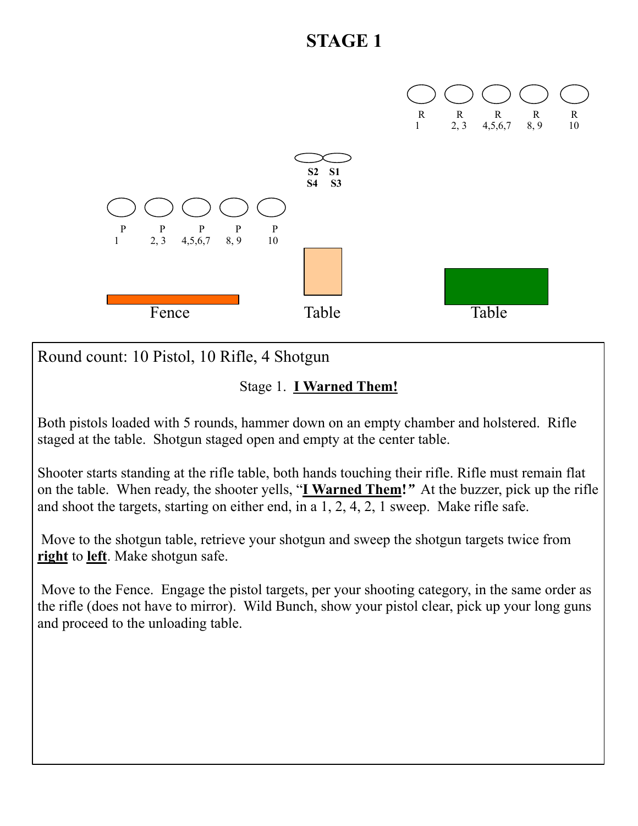

Round count: 10 Pistol, 10 Rifle, 4 Shotgun

### Stage 1. **I Warned Them!**

Both pistols loaded with 5 rounds, hammer down on an empty chamber and holstered. Rifle staged at the table. Shotgun staged open and empty at the center table.

Shooter starts standing at the rifle table, both hands touching their rifle. Rifle must remain flat on the table. When ready, the shooter yells, "**I Warned Them!***"* At the buzzer, pick up the rifle and shoot the targets, starting on either end, in a 1, 2, 4, 2, 1 sweep. Make rifle safe.

 Move to the shotgun table, retrieve your shotgun and sweep the shotgun targets twice from **right** to **left**. Make shotgun safe.

 Move to the Fence. Engage the pistol targets, per your shooting category, in the same order as the rifle (does not have to mirror). Wild Bunch, show your pistol clear, pick up your long guns and proceed to the unloading table.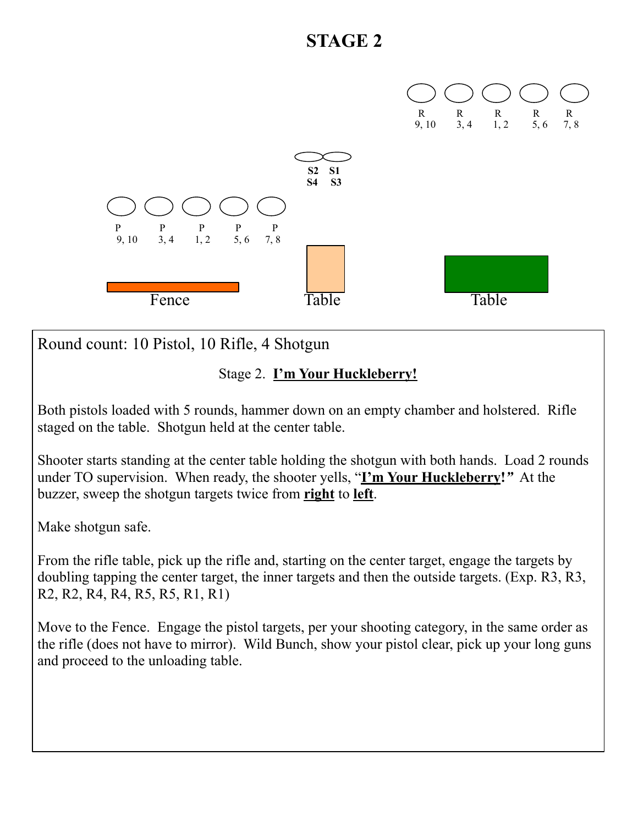

Round count: 10 Pistol, 10 Rifle, 4 Shotgun

#### Stage 2. **I'm Your Huckleberry!**

Both pistols loaded with 5 rounds, hammer down on an empty chamber and holstered. Rifle staged on the table. Shotgun held at the center table.

Shooter starts standing at the center table holding the shotgun with both hands. Load 2 rounds under TO supervision. When ready, the shooter yells, "**I'm Your Huckleberry!***"* At the buzzer, sweep the shotgun targets twice from **right** to **left**.

Make shotgun safe.

From the rifle table, pick up the rifle and, starting on the center target, engage the targets by doubling tapping the center target, the inner targets and then the outside targets. (Exp. R3, R3, R2, R2, R4, R4, R5, R5, R1, R1)

Move to the Fence. Engage the pistol targets, per your shooting category, in the same order as the rifle (does not have to mirror). Wild Bunch, show your pistol clear, pick up your long guns and proceed to the unloading table.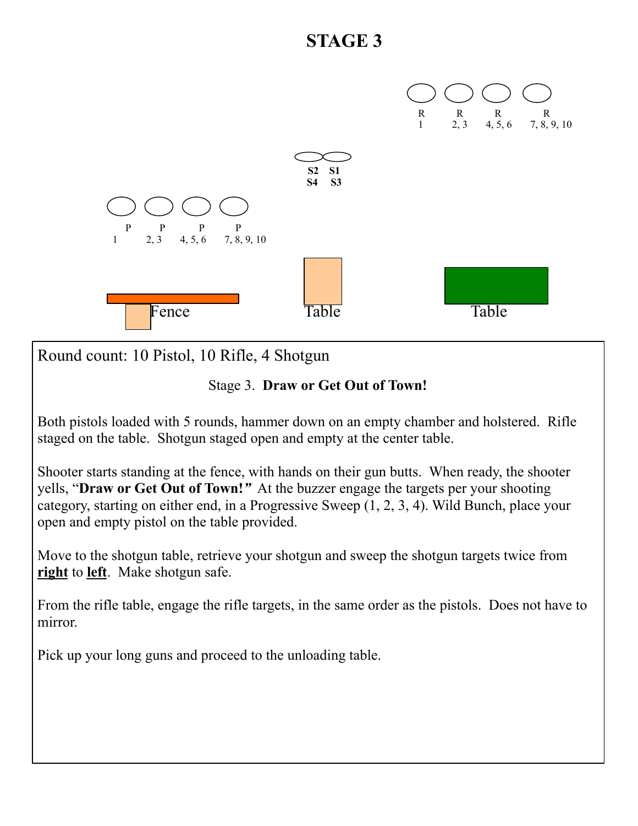

Round count: 10 Pistol, 10 Rifle, 4 Shotgun

#### Stage 3. **Draw or Get Out of Town!**

Both pistols loaded with 5 rounds, hammer down on an empty chamber and holstered. Rifle staged on the table. Shotgun staged open and empty at the center table.

Shooter starts standing at the fence, with hands on their gun butts. When ready, the shooter yells, "**Draw or Get Out of Town!***"* At the buzzer engage the targets per your shooting category, starting on either end, in a Progressive Sweep (1, 2, 3, 4). Wild Bunch, place your open and empty pistol on the table provided.

Move to the shotgun table, retrieve your shotgun and sweep the shotgun targets twice from **right** to **left**. Make shotgun safe.

From the rifle table, engage the rifle targets, in the same order as the pistols. Does not have to mirror.

Pick up your long guns and proceed to the unloading table.